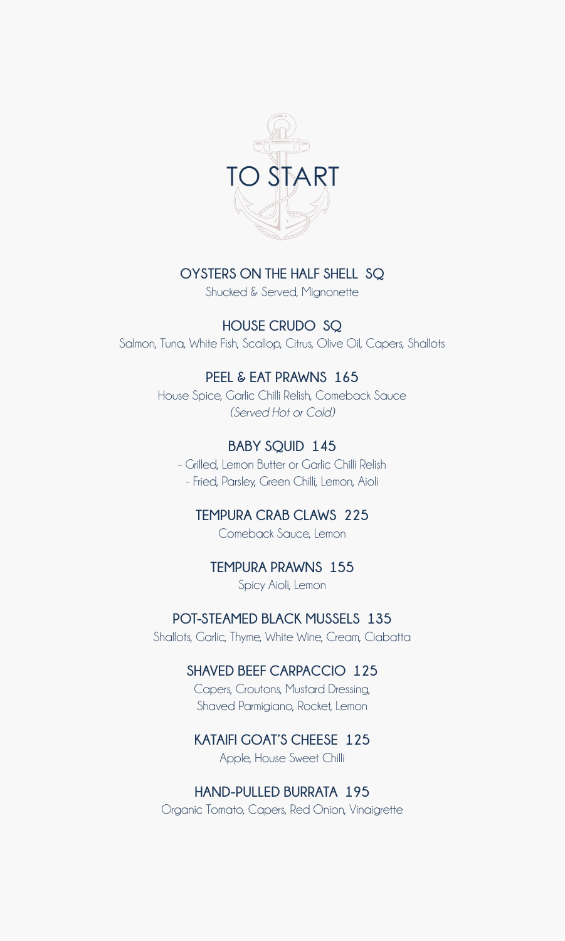

#### **OYSTERS ON THE HALF SHELL SQ**

Shucked & Served, Mignonette

**HOUSE CRUDO SQ** Salmon, Tuna, White Fish, Scallop, Citrus, Olive Oil, Capers, Shallots

#### **PEEL & EAT PRAWNS 165**

House Spice, Garlic Chilli Relish, Comeback Sauce *(Served Hot or Cold)*

### **BABY SQUID 145**

- Grilled, Lemon Butter or Garlic Chilli Relish - Fried, Parsley, Green Chilli, Lemon, Aioli

**TEMPURA CRAB CLAWS 225** Comeback Sauce, Lemon

### **TEMPURA PRAWNS 155**

Spicy Aioli, Lemon

#### **POT-STEAMED BLACK MUSSELS 135**

Shallots, Garlic, Thyme, White Wine, Cream, Ciabatta

### **SHAVED BEEF CARPACCIO 125**

Capers, Croutons, Mustard Dressing, Shaved Parmigiano, Rocket, Lemon

### **KATAIFI GOAT'S CHEESE 125**

Apple, House Sweet Chilli

#### **HAND-PULLED BURRATA 195**

Organic Tomato, Capers, Red Onion, Vinaigrette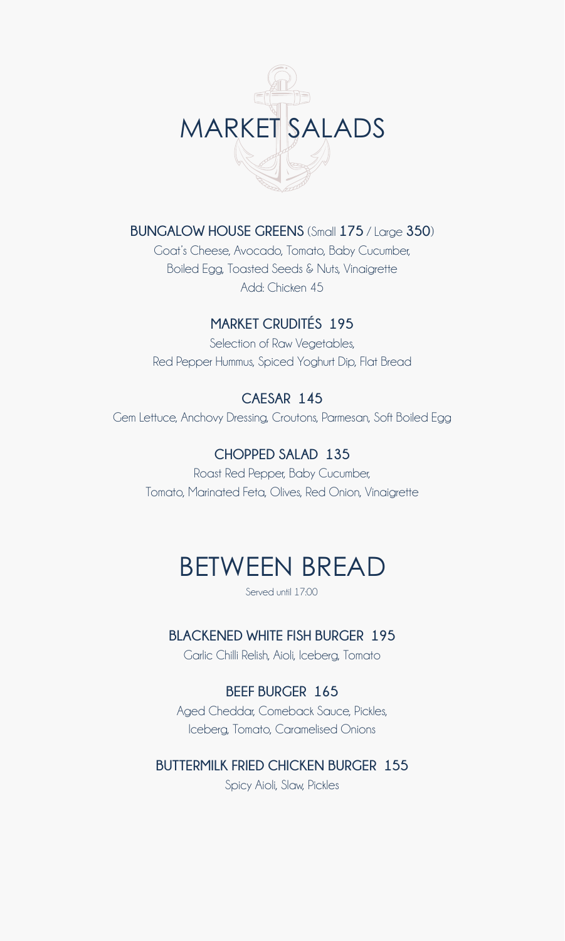

**BUNGALOW HOUSE GREENS** (Small **175** / Large **350**)

Goat's Cheese, Avocado, Tomato, Baby Cucumber, Boiled Egg, Toasted Seeds & Nuts, Vinaigrette Add: Chicken 45

### **MARKET CRUDITÉS 195**

Selection of Raw Vegetables, Red Pepper Hummus, Spiced Yoghurt Dip, Flat Bread

### **CAESAR 145**

Gem Lettuce, Anchovy Dressing, Croutons, Parmesan, Soft Boiled Egg

### **CHOPPED SALAD 135**

Roast Red Pepper, Baby Cucumber, Tomato, Marinated Feta, Olives, Red Onion, Vinaigrette

# BETWEEN BREAD

Served until 17:00

### **BLACKENED WHITE FISH BURGER 195**

Garlic Chilli Relish, Aioli, Iceberg, Tomato

### **BEEF BURGER 165**

Aged Cheddar, Comeback Sauce, Pickles, Iceberg, Tomato, Caramelised Onions

### **BUTTERMILK FRIED CHICKEN BURGER 155**

Spicy Aioli, Slaw, Pickles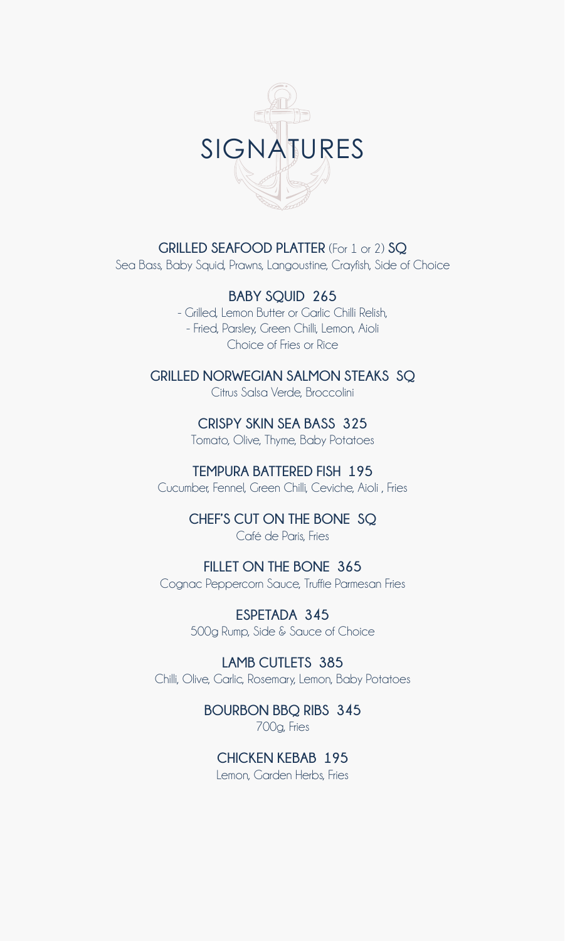

**GRILLED SEAFOOD PLATTER** (For 1 or 2) **SQ**

Sea Bass, Baby Squid, Prawns, Langoustine, Crayfish, Side of Choice

**BABY SQUID 265**

- Grilled, Lemon Butter or Garlic Chilli Relish, - Fried, Parsley, Green Chilli, Lemon, Aioli Choice of Fries or Rice

**GRILLED NORWEGIAN SALMON STEAKS SQ** Citrus Salsa Verde, Broccolini

> **CRISPY SKIN SEA BASS 325** Tomato, Olive, Thyme, Baby Potatoes

**TEMPURA BATTERED FISH 195** Cucumber, Fennel, Green Chilli, Ceviche, Aioli , Fries

> **CHEF'S CUT ON THE BONE SQ** Café de Paris, Fries

**FILLET ON THE BONE 365** Cognac Peppercorn Sauce, Truffle Parmesan Fries

> **ESPETADA 345** 500g Rump, Side & Sauce of Choice

**LAMB CUTLETS 385** Chilli, Olive, Garlic, Rosemary, Lemon, Baby Potatoes

> **BOURBON BBQ RIBS 345** 700g, Fries

**CHICKEN KEBAB 195** Lemon, Garden Herbs, Fries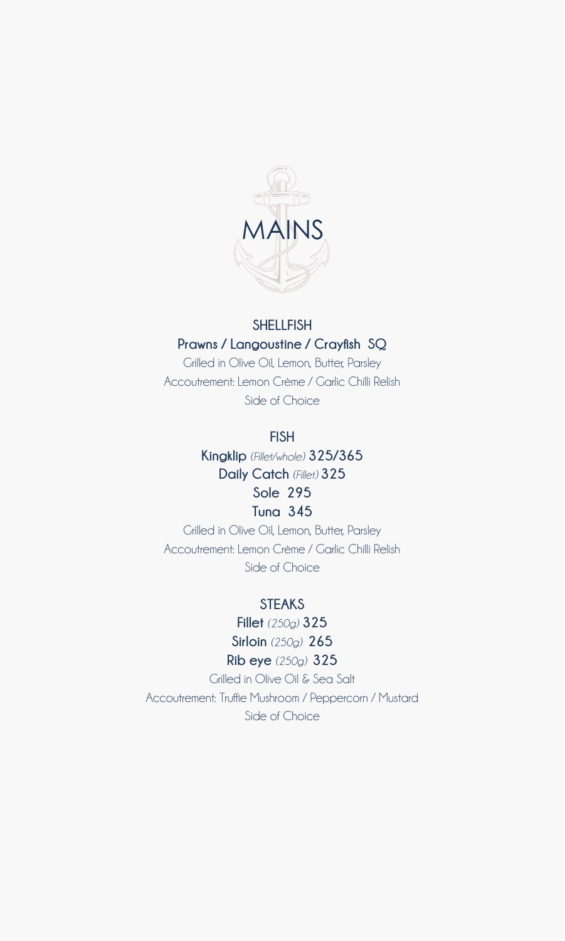

### **SHELLFISH Prawns / Langoustine / Crayfish SQ**

Grilled in Olive Oil, Lemon, Butter, Parsley Accoutrement: Lemon Crème / Garlic Chilli Relish Side of Choice

#### **FISH**

**Kingklip** *(Fillet/whole)* **325/365 Daily Catch** *(Fillet)* **325 Sole 295 Tuna 345**

Grilled in Olive Oil, Lemon, Butter, Parsley Accoutrement: Lemon Crème / Garlic Chilli Relish Side of Choice

### **STEAKS**

**Fillet** *(250g)* **325 Sirloin** *(250g)* **265 Rib eye** *(250g)* **325**

Grilled in Olive Oil & Sea Salt Accoutrement: Truffle Mushroom / Peppercorn / Mustard Side of Choice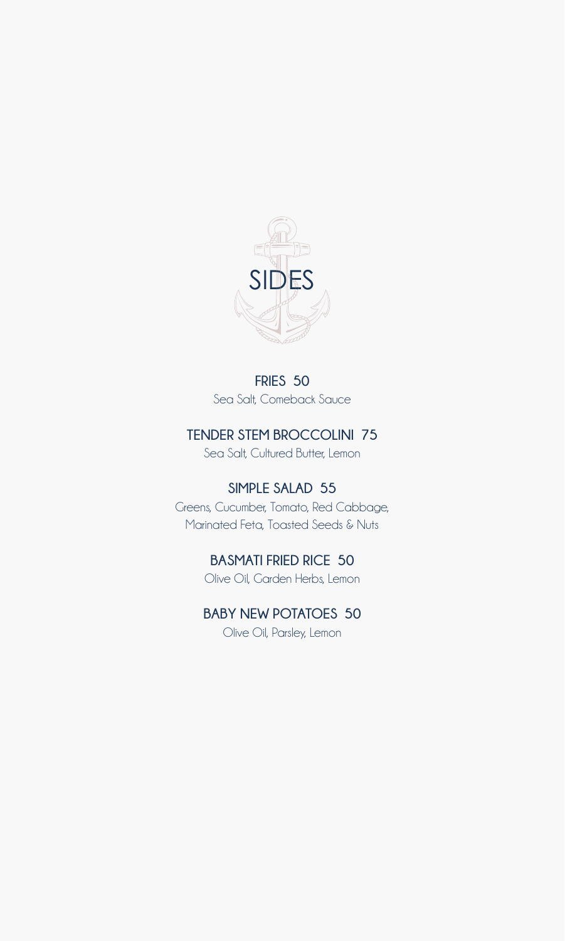

**FRIES 50** Sea Salt, Comeback Sauce

### **TENDER STEM BROCCOLINI 75**

Sea Salt, Cultured Butter, Lemon

### **SIMPLE SALAD 55**

Greens, Cucumber, Tomato, Red Cabbage, Marinated Feta, Toasted Seeds & Nuts

### **BASMATI FRIED RICE 50**

Olive Oil, Garden Herbs, Lemon

### **BABY NEW POTATOES 50** Olive Oil, Parsley, Lemon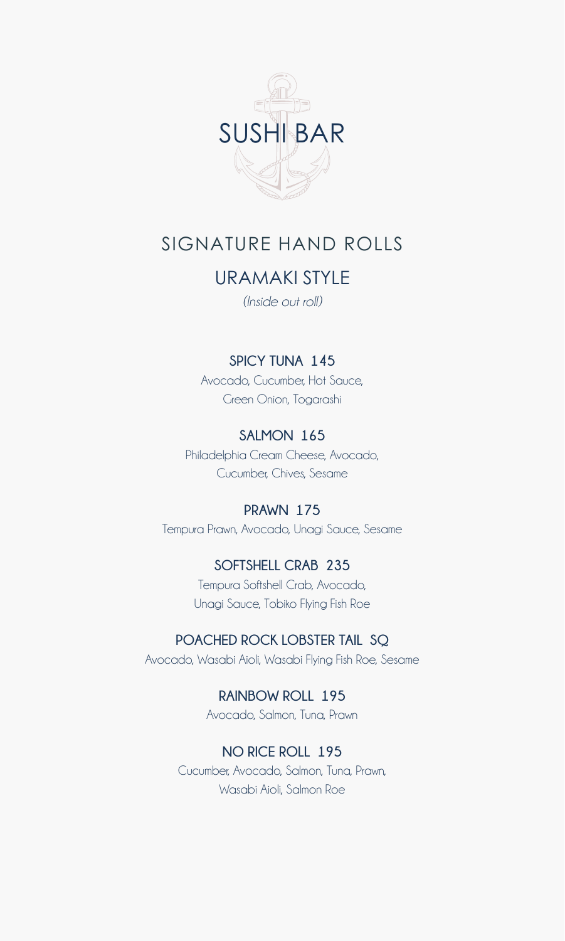

# SIGNATURE HAND ROLLS

## URAMAKI STYLE

*(Inside out roll)*

### **SPICY TUNA 145**

Avocado, Cucumber, Hot Sauce, Green Onion, Togarashi

### **SALMON 165**

Philadelphia Cream Cheese, Avocado, Cucumber, Chives, Sesame

### **PRAWN 175**

Tempura Prawn, Avocado, Unagi Sauce, Sesame

#### **SOFTSHELL CRAB 235**

Tempura Softshell Crab, Avocado, Unagi Sauce, Tobiko Flying Fish Roe

#### **POACHED ROCK LOBSTER TAIL SQ**

Avocado, Wasabi Aioli, Wasabi Flying Fish Roe, Sesame

**RAINBOW ROLL 195** Avocado, Salmon, Tuna, Prawn

### **NO RICE ROLL 195**

Cucumber, Avocado, Salmon, Tuna, Prawn, Wasabi Aioli, Salmon Roe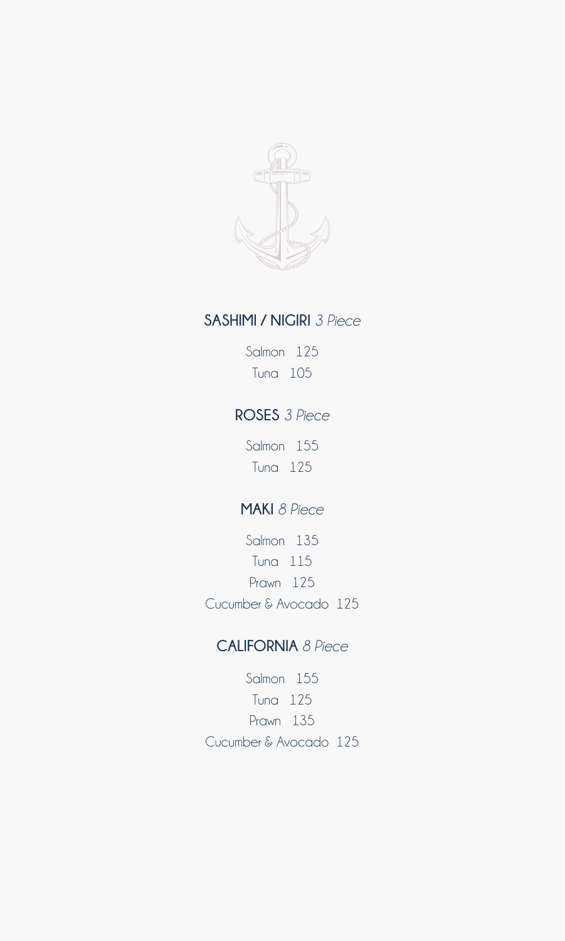

### **SASHIMI / NIGIRI** *3 Piece*

Salmon 125 Tuna 105

### **ROSES** *3 Piece*

Salmon 155 Tuna 125

### **MAKI** *8 Piece*

Salmon 135 Tuna 115 Prawn 125 Cucumber & Avocado 125

### **CALIFORNIA** *8 Piece*

Salmon 155 Tuna 125 Prawn 135 Cucumber & Avocado 125